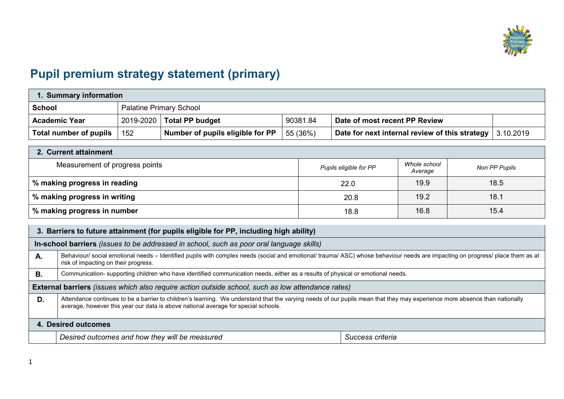

## **Pupil premium strategy statement (primary)**

| . Summary information  |     |                                  |          |                                                |           |  |  |  |
|------------------------|-----|----------------------------------|----------|------------------------------------------------|-----------|--|--|--|
| <b>School</b>          |     | <b>Palatine Primary School</b>   |          |                                                |           |  |  |  |
| <b>Academic Year</b>   |     | $2019 - 2020$ Total PP budget    | 90381.84 | Date of most recent PP Review                  |           |  |  |  |
| Total number of pupils | 152 | Number of pupils eligible for PP | 55 (36%) | Date for next internal review of this strategy | 3.10.2019 |  |  |  |

| 2. Current attainment          |                        |                         |               |  |  |  |  |  |
|--------------------------------|------------------------|-------------------------|---------------|--|--|--|--|--|
| Measurement of progress points | Pupils eligible for PP | Whole school<br>Average | Non PP Pupils |  |  |  |  |  |
| % making progress in reading   | 22.0                   | 19.9                    | 18.5          |  |  |  |  |  |
| % making progress in writing   | 20.8                   | 19.2                    | 18.1          |  |  |  |  |  |
| % making progress in number    | 18.8                   | 16.8                    | 15.4          |  |  |  |  |  |

|                     | 3. Barriers to future attainment (for pupils eligible for PP, including high ability)                                                                                                                                                                            |  |  |  |  |  |  |
|---------------------|------------------------------------------------------------------------------------------------------------------------------------------------------------------------------------------------------------------------------------------------------------------|--|--|--|--|--|--|
|                     | In-school barriers (issues to be addressed in school, such as poor oral language skills)                                                                                                                                                                         |  |  |  |  |  |  |
| Α.                  | Behaviour/ social emotional needs - Identified pupils with complex needs (social and emotional/ trauma/ ASC) whose behaviour needs are impacting on progress/ place them as at<br>risk of impacting on their progress.                                           |  |  |  |  |  |  |
| В.                  | Communication- supporting children who have identified communication needs, either as a results of physical or emotional needs.                                                                                                                                  |  |  |  |  |  |  |
|                     | External barriers (issues which also require action outside school, such as low attendance rates)                                                                                                                                                                |  |  |  |  |  |  |
| D.                  | Attendance continues to be a barrier to children's learning. We understand that the varying needs of our pupils mean that they may experience more absence than nationally<br>average, however this year our data is above national average for special schools. |  |  |  |  |  |  |
| 4. Desired outcomes |                                                                                                                                                                                                                                                                  |  |  |  |  |  |  |
|                     | Desired outcomes and how they will be measured<br>Success criteria                                                                                                                                                                                               |  |  |  |  |  |  |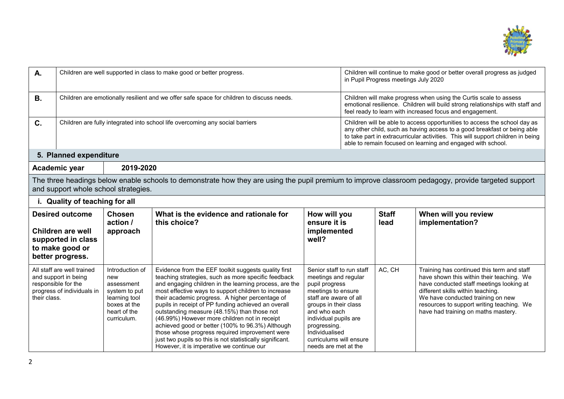

| A.             | Children are well supported in class to make good or better progress.                                           |                                                                                                                       |                                                                                                                                                                                                                                                                                                                                                                                                                                                                                                                                                                                                                                                        |                                                                                                                                                                                                                                                                            | Children will continue to make good or better overall progress as judged<br>in Pupil Progress meetings July 2020 |                                                                                                                                                                                                                                                                                                         |                                                                                                                                                                                                                                                                                                   |  |
|----------------|-----------------------------------------------------------------------------------------------------------------|-----------------------------------------------------------------------------------------------------------------------|--------------------------------------------------------------------------------------------------------------------------------------------------------------------------------------------------------------------------------------------------------------------------------------------------------------------------------------------------------------------------------------------------------------------------------------------------------------------------------------------------------------------------------------------------------------------------------------------------------------------------------------------------------|----------------------------------------------------------------------------------------------------------------------------------------------------------------------------------------------------------------------------------------------------------------------------|------------------------------------------------------------------------------------------------------------------|---------------------------------------------------------------------------------------------------------------------------------------------------------------------------------------------------------------------------------------------------------------------------------------------------------|---------------------------------------------------------------------------------------------------------------------------------------------------------------------------------------------------------------------------------------------------------------------------------------------------|--|
| <b>B.</b>      |                                                                                                                 |                                                                                                                       | Children are emotionally resilient and we offer safe space for children to discuss needs.                                                                                                                                                                                                                                                                                                                                                                                                                                                                                                                                                              |                                                                                                                                                                                                                                                                            |                                                                                                                  | Children will make progress when using the Curtis scale to assess<br>emotional resilience. Children will build strong relationships with staff and<br>feel ready to learn with increased focus and engagement.                                                                                          |                                                                                                                                                                                                                                                                                                   |  |
| $\mathbf{C}$ . |                                                                                                                 |                                                                                                                       | Children are fully integrated into school life overcoming any social barriers                                                                                                                                                                                                                                                                                                                                                                                                                                                                                                                                                                          |                                                                                                                                                                                                                                                                            |                                                                                                                  | Children will be able to access opportunities to access the school day as<br>any other child, such as having access to a good breakfast or being able<br>to take part in extracurricular activities. This will support children in being<br>able to remain focused on learning and engaged with school. |                                                                                                                                                                                                                                                                                                   |  |
|                | 5. Planned expenditure                                                                                          |                                                                                                                       |                                                                                                                                                                                                                                                                                                                                                                                                                                                                                                                                                                                                                                                        |                                                                                                                                                                                                                                                                            |                                                                                                                  |                                                                                                                                                                                                                                                                                                         |                                                                                                                                                                                                                                                                                                   |  |
|                | Academic year                                                                                                   | 2019-2020                                                                                                             |                                                                                                                                                                                                                                                                                                                                                                                                                                                                                                                                                                                                                                                        |                                                                                                                                                                                                                                                                            |                                                                                                                  |                                                                                                                                                                                                                                                                                                         |                                                                                                                                                                                                                                                                                                   |  |
|                |                                                                                                                 | and support whole school strategies.                                                                                  | The three headings below enable schools to demonstrate how they are using the pupil premium to improve classroom pedagogy, provide targeted support                                                                                                                                                                                                                                                                                                                                                                                                                                                                                                    |                                                                                                                                                                                                                                                                            |                                                                                                                  |                                                                                                                                                                                                                                                                                                         |                                                                                                                                                                                                                                                                                                   |  |
|                | i. Quality of teaching for all                                                                                  |                                                                                                                       |                                                                                                                                                                                                                                                                                                                                                                                                                                                                                                                                                                                                                                                        |                                                                                                                                                                                                                                                                            |                                                                                                                  |                                                                                                                                                                                                                                                                                                         |                                                                                                                                                                                                                                                                                                   |  |
|                | <b>Desired outcome</b><br><b>Children are well</b><br>supported in class<br>to make good or<br>better progress. | <b>Chosen</b><br>action /<br>approach                                                                                 | What is the evidence and rationale for<br>this choice?                                                                                                                                                                                                                                                                                                                                                                                                                                                                                                                                                                                                 | How will you<br>ensure it is<br>implemented<br>well?                                                                                                                                                                                                                       |                                                                                                                  | <b>Staff</b><br>lead                                                                                                                                                                                                                                                                                    | When will you review<br>implementation?                                                                                                                                                                                                                                                           |  |
| their class.   | All staff are well trained<br>and support in being<br>responsible for the<br>progress of individuals in         | Introduction of<br>new<br>assessment<br>system to put<br>learning tool<br>boxes at the<br>heart of the<br>curriculum. | Evidence from the EEF toolkit suggests quality first<br>teaching strategies, such as more specific feedback<br>and engaging children in the learning process, are the<br>most effective ways to support children to increase<br>their academic progress. A higher percentage of<br>pupils in receipt of PP funding achieved an overall<br>outstanding measure (48.15%) than those not<br>(46.99%) However more children not in receipt<br>achieved good or better (100% to 96.3%) Although<br>those whose progress required improvement were<br>just two pupils so this is not statistically significant.<br>However, it is imperative we continue our | Senior staff to run staff<br>meetings and regular<br>pupil progress<br>meetings to ensure<br>staff are aware of all<br>groups in their class<br>and who each<br>individual pupils are<br>progressing.<br>Individualised<br>curriculums will ensure<br>needs are met at the |                                                                                                                  | AC, CH                                                                                                                                                                                                                                                                                                  | Training has continued this term and staff<br>have shown this within their teaching. We<br>have conducted staff meetings looking at<br>different skills within teaching.<br>We have conducted training on new<br>resources to support writing teaching. We<br>have had training on maths mastery. |  |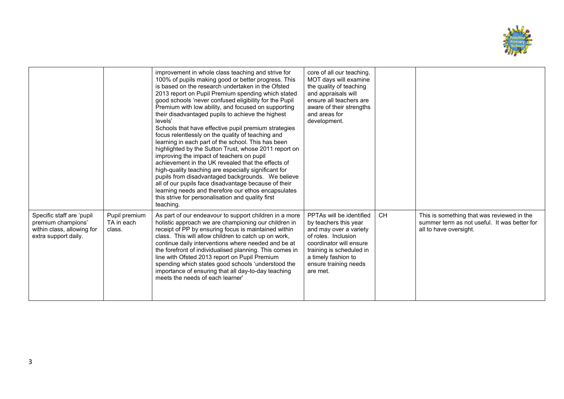

|                                                                                                       |                                       | improvement in whole class teaching and strive for<br>100% of pupils making good or better progress. This<br>is based on the research undertaken in the Ofsted<br>2013 report on Pupil Premium spending which stated<br>good schools 'never confused eligibility for the Pupil<br>Premium with low ability, and focused on supporting<br>their disadvantaged pupils to achieve the highest<br>levels'<br>Schools that have effective pupil premium strategies<br>focus relentlessly on the quality of teaching and<br>learning in each part of the school. This has been<br>highlighted by the Sutton Trust, whose 2011 report on<br>improving the impact of teachers on pupil<br>achievement in the UK revealed that the effects of<br>high-quality teaching are especially significant for<br>pupils from disadvantaged backgrounds. We believe<br>all of our pupils face disadvantage because of their<br>learning needs and therefore our ethos encapsulates<br>this strive for personalisation and quality first<br>teaching. | core of all our teaching.<br>MOT days will examine<br>the quality of teaching<br>and appraisals will<br>ensure all teachers are<br>aware of their strengths<br>and areas for<br>development.                          |           |                                                                                                                      |
|-------------------------------------------------------------------------------------------------------|---------------------------------------|------------------------------------------------------------------------------------------------------------------------------------------------------------------------------------------------------------------------------------------------------------------------------------------------------------------------------------------------------------------------------------------------------------------------------------------------------------------------------------------------------------------------------------------------------------------------------------------------------------------------------------------------------------------------------------------------------------------------------------------------------------------------------------------------------------------------------------------------------------------------------------------------------------------------------------------------------------------------------------------------------------------------------------|-----------------------------------------------------------------------------------------------------------------------------------------------------------------------------------------------------------------------|-----------|----------------------------------------------------------------------------------------------------------------------|
| Specific staff are 'pupil<br>premium champions'<br>within class, allowing for<br>extra support daily. | Pupil premium<br>TA in each<br>class. | As part of our endeavour to support children in a more<br>holistic approach we are championing our children in<br>receipt of PP by ensuring focus is maintained within<br>class. This will allow children to catch up on work,<br>continue daily interventions where needed and be at<br>the forefront of individualised planning. This comes in<br>line with Ofsted 2013 report on Pupil Premium<br>spending which states good schools 'understood the<br>importance of ensuring that all day-to-day teaching<br>meets the needs of each learner'                                                                                                                                                                                                                                                                                                                                                                                                                                                                                 | PPTAs will be identified<br>by teachers this year<br>and may over a variety<br>of roles. Inclusion<br>coordinator will ensure<br>training is scheduled in<br>a timely fashion to<br>ensure training needs<br>are met. | <b>CH</b> | This is something that was reviewed in the<br>summer term as not useful. It was better for<br>all to have oversight. |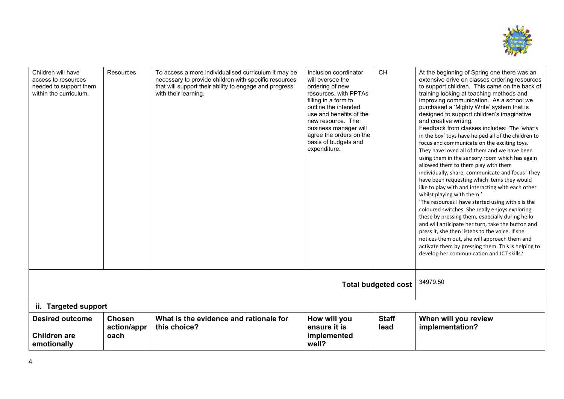

| Children will have<br>access to resources<br>needed to support them<br>within the curriculum. | <b>Resources</b>                     | To access a more individualised curriculum it may be<br>necessary to provide children with specific resources<br>that will support their ability to engage and progress<br>with their learning. | Inclusion coordinator<br>will oversee the<br>ordering of new<br>resources, with PPTAs<br>filling in a form to<br>outline the intended<br>use and benefits of the<br>new resource. The<br>business manager will<br>agree the orders on the<br>basis of budgets and<br>expenditure. | CH                         | At the beginning of Spring one there was an<br>extensive drive on classes ordering resources<br>to support children. This came on the back of<br>training looking at teaching methods and<br>improving communication. As a school we<br>purchased a 'Mighty Write' system that is<br>designed to support children's imaginative<br>and creative writing.<br>Feedback from classes includes: 'The 'what's<br>in the box' toys have helped all of the children to<br>focus and communicate on the exciting toys.<br>They have loved all of them and we have been<br>using them in the sensory room which has again<br>allowed them to them play with them<br>individually, share, communicate and focus! They<br>have been requesting which items they would<br>like to play with and interacting with each other<br>whilst playing with them.'<br>'The resources I have started using with x is the<br>coloured switches. She really enjoys exploring<br>these by pressing them, especially during hello<br>and will anticipate her turn, take the button and<br>press it, she then listens to the voice. If she<br>notices them out, she will approach them and<br>activate them by pressing them. This is helping to<br>develop her communication and ICT skills.' |  |  |  |
|-----------------------------------------------------------------------------------------------|--------------------------------------|-------------------------------------------------------------------------------------------------------------------------------------------------------------------------------------------------|-----------------------------------------------------------------------------------------------------------------------------------------------------------------------------------------------------------------------------------------------------------------------------------|----------------------------|---------------------------------------------------------------------------------------------------------------------------------------------------------------------------------------------------------------------------------------------------------------------------------------------------------------------------------------------------------------------------------------------------------------------------------------------------------------------------------------------------------------------------------------------------------------------------------------------------------------------------------------------------------------------------------------------------------------------------------------------------------------------------------------------------------------------------------------------------------------------------------------------------------------------------------------------------------------------------------------------------------------------------------------------------------------------------------------------------------------------------------------------------------------------------------------------------------------------------------------------------------------------|--|--|--|
|                                                                                               |                                      |                                                                                                                                                                                                 |                                                                                                                                                                                                                                                                                   | <b>Total budgeted cost</b> | 34979.50                                                                                                                                                                                                                                                                                                                                                                                                                                                                                                                                                                                                                                                                                                                                                                                                                                                                                                                                                                                                                                                                                                                                                                                                                                                            |  |  |  |
|                                                                                               | ii. Targeted support                 |                                                                                                                                                                                                 |                                                                                                                                                                                                                                                                                   |                            |                                                                                                                                                                                                                                                                                                                                                                                                                                                                                                                                                                                                                                                                                                                                                                                                                                                                                                                                                                                                                                                                                                                                                                                                                                                                     |  |  |  |
| <b>Desired outcome</b><br><b>Children are</b><br>emotionally                                  | <b>Chosen</b><br>action/appr<br>oach | What is the evidence and rationale for<br>this choice?                                                                                                                                          | How will you<br>ensure it is<br>implemented<br>well?                                                                                                                                                                                                                              | <b>Staff</b><br>lead       | When will you review<br>implementation?                                                                                                                                                                                                                                                                                                                                                                                                                                                                                                                                                                                                                                                                                                                                                                                                                                                                                                                                                                                                                                                                                                                                                                                                                             |  |  |  |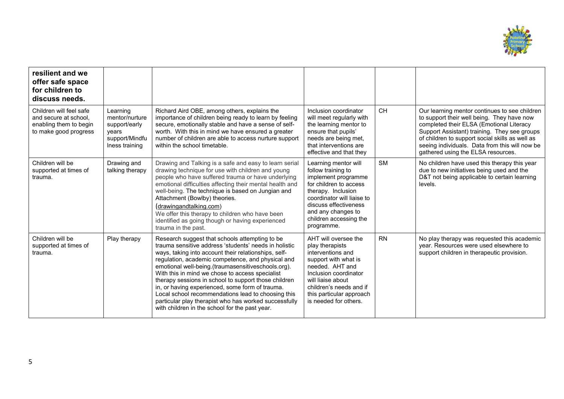

| resilient and we<br>offer safe space<br>for children to<br>discuss needs.                           |                                                                                          |                                                                                                                                                                                                                                                                                                                                                                                                                                                                                                                                                                                                           |                                                                                                                                                                                                                                        |           |                                                                                                                                                                                                                                                                                                                                    |
|-----------------------------------------------------------------------------------------------------|------------------------------------------------------------------------------------------|-----------------------------------------------------------------------------------------------------------------------------------------------------------------------------------------------------------------------------------------------------------------------------------------------------------------------------------------------------------------------------------------------------------------------------------------------------------------------------------------------------------------------------------------------------------------------------------------------------------|----------------------------------------------------------------------------------------------------------------------------------------------------------------------------------------------------------------------------------------|-----------|------------------------------------------------------------------------------------------------------------------------------------------------------------------------------------------------------------------------------------------------------------------------------------------------------------------------------------|
| Children will feel safe<br>and secure at school.<br>enabling them to begin<br>to make good progress | Learning<br>mentor/nurture<br>support/early<br>years<br>support/Mindfu<br>Iness training | Richard Aird OBE, among others, explains the<br>importance of children being ready to learn by feeling<br>secure, emotionally stable and have a sense of self-<br>worth. With this in mind we have ensured a greater<br>number of children are able to access nurture support<br>within the school timetable.                                                                                                                                                                                                                                                                                             | Inclusion coordinator<br>will meet regularly with<br>the learning mentor to<br>ensure that pupils'<br>needs are being met,<br>that interventions are<br>effective and that they                                                        | <b>CH</b> | Our learning mentor continues to see children<br>to support their well being. They have now<br>completed their ELSA (Emotional Literacy<br>Support Assistant) training. They see groups<br>of children to support social skills as well as<br>seeing individuals. Data from this will now be<br>gathered using the ELSA resources. |
| Children will be<br>supported at times of<br>trauma.                                                | Drawing and<br>talking therapy                                                           | Drawing and Talking is a safe and easy to learn serial<br>drawing technique for use with children and young<br>people who have suffered trauma or have underlying<br>emotional difficulties affecting their mental health and<br>well-being. The technique is based on Jungian and<br>Attachment (Bowlby) theories.<br>(drawingandtalking.com)<br>We offer this therapy to children who have been<br>identified as going though or having experienced<br>trauma in the past.                                                                                                                              | Learning mentor will<br>follow training to<br>implement programme<br>for children to access<br>therapy. Inclusion<br>coordinator will liaise to<br>discuss effectiveness<br>and any changes to<br>children accessing the<br>programme. | <b>SM</b> | No children have used this therapy this year<br>due to new initiatives being used and the<br>D&T not being applicable to certain learning<br>levels.                                                                                                                                                                               |
| Children will be<br>supported at times of<br>trauma.                                                | Play therapy                                                                             | Research suggest that schools attempting to be<br>trauma sensitive address 'students' needs in holistic<br>ways, taking into account their relationships, self-<br>regulation, academic competence, and physical and<br>emotional well-being.(traumasensitiveschools.org).<br>With this in mind we chose to access specialist<br>therapy sessions in school to support those children<br>in, or having experienced, some form of trauma.<br>Local school recommendations lead to choosing this<br>particular play therapist who has worked successfully<br>with children in the school for the past year. | AHT will oversee the<br>play therapists<br>interventions and<br>support with what is<br>needed. AHT and<br>Inclusion coordinator<br>will liaise about<br>children's needs and if<br>this particular approach<br>is needed for others.  | <b>RN</b> | No play therapy was requested this academic<br>year. Resources were used elsewhere to<br>support children in therapeutic provision.                                                                                                                                                                                                |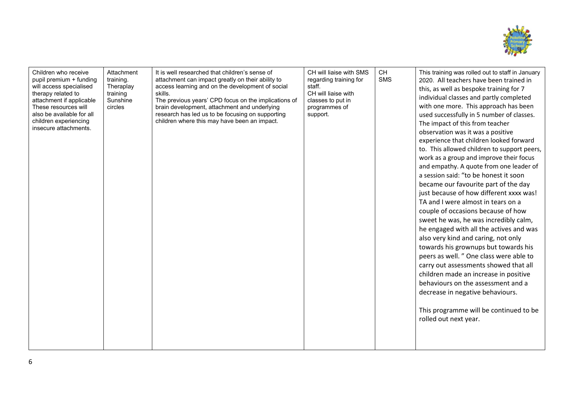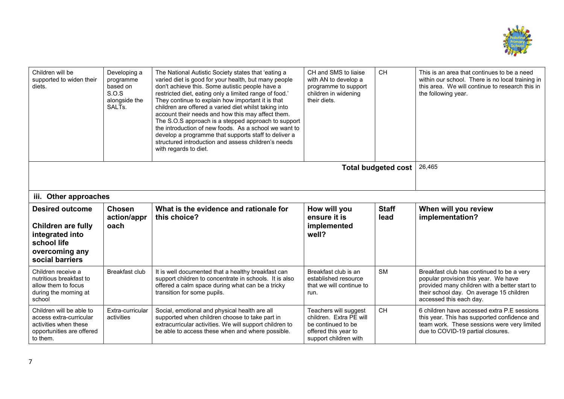

| Children will be<br>supported to widen their<br>diets.                                                                     | Developing a<br>programme<br>based on<br>S.O.S<br>alongside the<br>SALT <sub>s</sub> | The National Autistic Society states that 'eating a<br>varied diet is good for your health, but many people<br>don't achieve this. Some autistic people have a<br>restricted diet, eating only a limited range of food.'<br>They continue to explain how important it is that<br>children are offered a varied diet whilst taking into<br>account their needs and how this may affect them.<br>The S.O.S approach is a stepped approach to support<br>the introduction of new foods. As a school we want to<br>develop a programme that supports staff to deliver a<br>structured introduction and assess children's needs<br>with regards to diet. | CH and SMS to liaise<br>with AN to develop a<br>programme to support<br>children in widening<br>their diets.            | <b>CH</b>            | This is an area that continues to be a need<br>within our school. There is no local training in<br>this area. We will continue to research this in<br>the following year.                                 |
|----------------------------------------------------------------------------------------------------------------------------|--------------------------------------------------------------------------------------|-----------------------------------------------------------------------------------------------------------------------------------------------------------------------------------------------------------------------------------------------------------------------------------------------------------------------------------------------------------------------------------------------------------------------------------------------------------------------------------------------------------------------------------------------------------------------------------------------------------------------------------------------------|-------------------------------------------------------------------------------------------------------------------------|----------------------|-----------------------------------------------------------------------------------------------------------------------------------------------------------------------------------------------------------|
|                                                                                                                            | Total budgeted cost                                                                  | 26,465                                                                                                                                                                                                                                                                                                                                                                                                                                                                                                                                                                                                                                              |                                                                                                                         |                      |                                                                                                                                                                                                           |
| iii. Other approaches                                                                                                      |                                                                                      |                                                                                                                                                                                                                                                                                                                                                                                                                                                                                                                                                                                                                                                     |                                                                                                                         |                      |                                                                                                                                                                                                           |
| <b>Desired outcome</b><br><b>Children are fully</b><br>integrated into<br>school life<br>overcoming any<br>social barriers | <b>Chosen</b><br>action/appr<br>oach                                                 | What is the evidence and rationale for<br>this choice?                                                                                                                                                                                                                                                                                                                                                                                                                                                                                                                                                                                              | How will you<br>ensure it is<br>implemented<br>well?                                                                    | <b>Staff</b><br>lead | When will you review<br>implementation?                                                                                                                                                                   |
| Children receive a<br>nutritious breakfast to<br>allow them to focus<br>during the morning at<br>school                    | Breakfast club                                                                       | It is well documented that a healthy breakfast can<br>support children to concentrate in schools. It is also<br>offered a calm space during what can be a tricky<br>transition for some pupils.                                                                                                                                                                                                                                                                                                                                                                                                                                                     | Breakfast club is an<br>established resource<br>that we will continue to<br>run.                                        | <b>SM</b>            | Breakfast club has continued to be a very<br>popular provision this year. We have<br>provided many children with a better start to<br>their school day. On average 15 children<br>accessed this each day. |
| Children will be able to<br>access extra-curricular<br>activities when these<br>opportunities are offered<br>to them.      | Extra-curricular<br>activities                                                       | Social, emotional and physical health are all<br>supported when children choose to take part in<br>extracurricular activities. We will support children to<br>be able to access these when and where possible.                                                                                                                                                                                                                                                                                                                                                                                                                                      | Teachers will suggest<br>children. Extra PE will<br>be continued to be<br>offered this year to<br>support children with | <b>CH</b>            | 6 children have accessed extra P.E sessions<br>this year. This has supported confidence and<br>team work. These sessions were very limited<br>due to COVID-19 partial closures.                           |